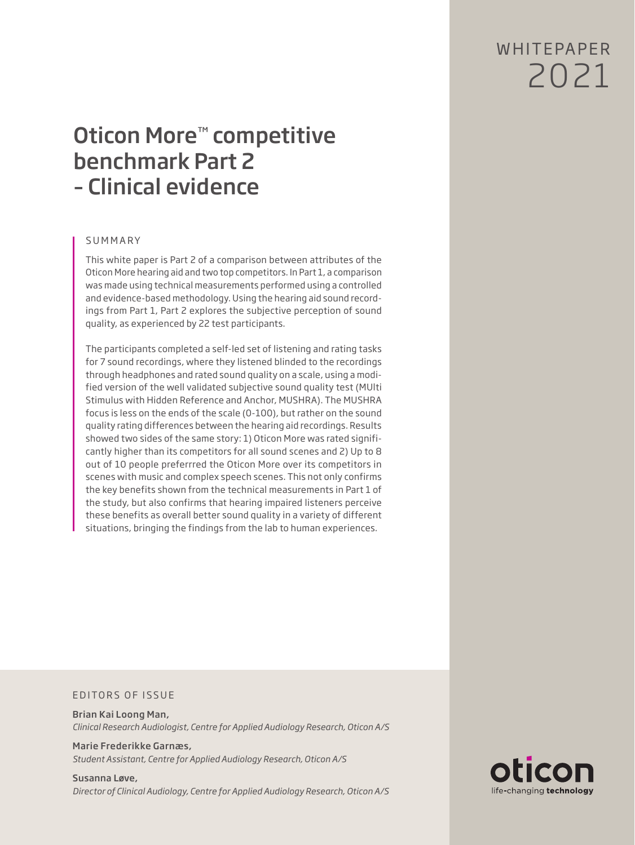W HITFPAPFR 2021

# Oticon More™ competitive benchmark Part 2 – Clinical evidence

# SUMMARY

This white paper is Part 2 of a comparison between attributes of the Oticon More hearing aid and two top competitors. In Part 1, a comparison was made using technical measurements performed using a controlled and evidence-based methodology. Using the hearing aid sound recordings from Part 1, Part 2 explores the subjective perception of sound quality, as experienced by 22 test participants.

The participants completed a self-led set of listening and rating tasks for 7 sound recordings, where they listened blinded to the recordings through headphones and rated sound quality on a scale, using a modified version of the well validated subjective sound quality test (MUlti Stimulus with Hidden Reference and Anchor, MUSHRA). The MUSHRA focus is less on the ends of the scale (0-100), but rather on the sound quality rating differences between the hearing aid recordings. Results showed two sides of the same story: 1) Oticon More was rated significantly higher than its competitors for all sound scenes and 2) Up to 8 out of 10 people preferrred the Oticon More over its competitors in scenes with music and complex speech scenes. This not only confirms the key benefits shown from the technical measurements in Part 1 of the study, but also confirms that hearing impaired listeners perceive these benefits as overall better sound quality in a variety of different situations, bringing the findings from the lab to human experiences.

#### EDITORS OF ISSUE

Brian Kai Loong Man, *Clinical Research Audiologist, Centre for Applied Audiology Research, Oticon A/S*

Marie Frederikke Garnæs, *Student Assistant, Centre for Applied Audiology Research, Oticon A/S*

Susanna Løve, *Director of Clinical Audiology, Centre for Applied Audiology Research, Oticon A/S*

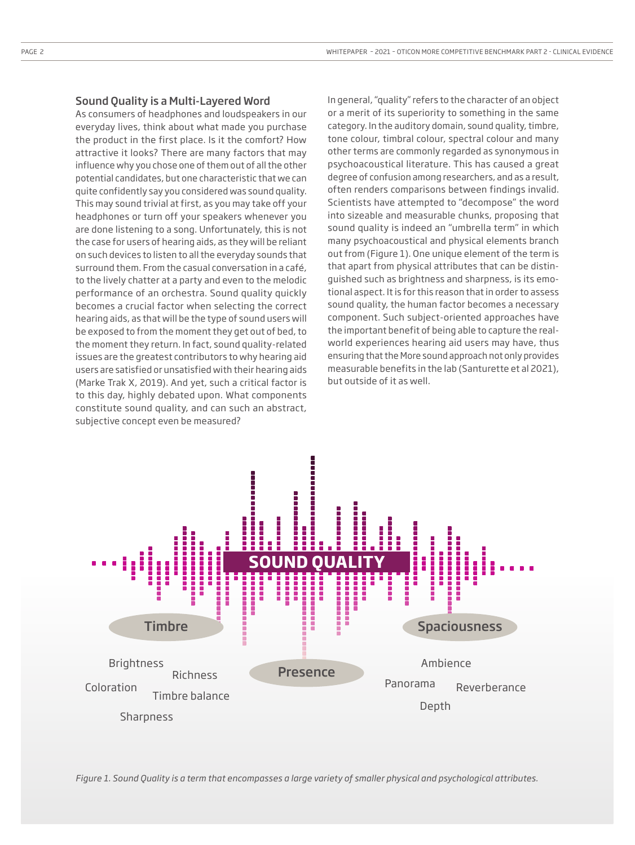#### Sound Quality is a Multi-Layered Word

As consumers of headphones and loudspeakers in our everyday lives, think about what made you purchase the product in the first place. Is it the comfort? How attractive it looks? There are many factors that may influence why you chose one of them out of all the other potential candidates, but one characteristic that we can quite confidently say you considered was sound quality. This may sound trivial at first, as you may take off your headphones or turn off your speakers whenever you are done listening to a song. Unfortunately, this is not the case for users of hearing aids, as they will be reliant on such devices to listen to all the everyday sounds that surround them. From the casual conversation in a café, to the lively chatter at a party and even to the melodic performance of an orchestra. Sound quality quickly becomes a crucial factor when selecting the correct hearing aids, as that will be the type of sound users will be exposed to from the moment they get out of bed, to the moment they return. In fact, sound quality-related issues are the greatest contributors to why hearing aid users are satisfied or unsatisfied with their hearing aids (Marke Trak X, 2019). And yet, such a critical factor is to this day, highly debated upon. What components constitute sound quality, and can such an abstract, subjective concept even be measured?

In general, "quality" refers to the character of an object or a merit of its superiority to something in the same category. In the auditory domain, sound quality, timbre, tone colour, timbral colour, spectral colour and many other terms are commonly regarded as synonymous in psychoacoustical literature. This has caused a great degree of confusion among researchers, and as a result, often renders comparisons between findings invalid. Scientists have attempted to "decompose" the word into sizeable and measurable chunks, proposing that sound quality is indeed an "umbrella term" in which many psychoacoustical and physical elements branch out from (Figure 1). One unique element of the term is that apart from physical attributes that can be distinguished such as brightness and sharpness, is its emotional aspect. It is for this reason that in order to assess sound quality, the human factor becomes a necessary component. Such subject-oriented approaches have the important benefit of being able to capture the realworld experiences hearing aid users may have, thus ensuring that the More sound approach not only provides measurable benefits in the lab (Santurette et al 2021), but outside of it as well.



*Figure 1. Sound Quality is a term that encompasses a large variety of smaller physical and psychological attributes.*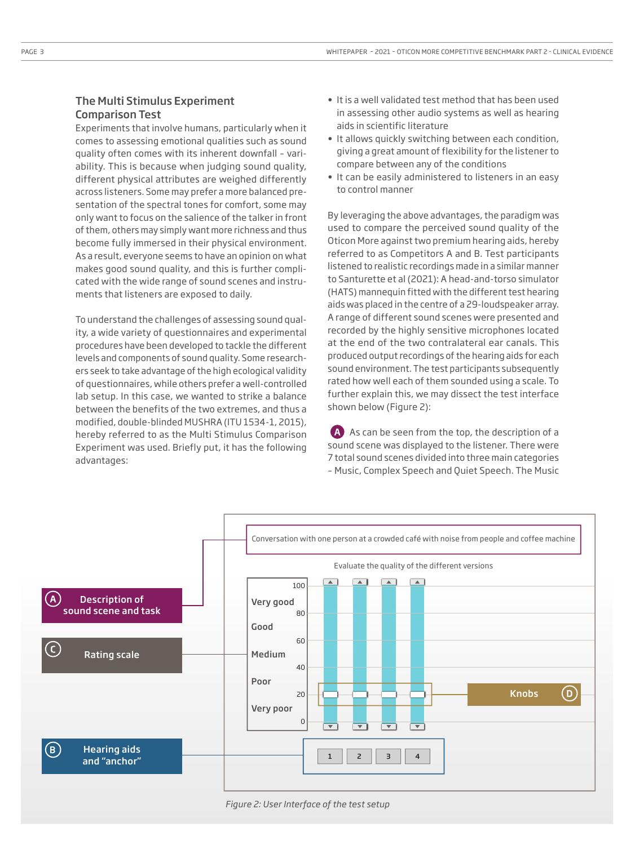# The Multi Stimulus Experiment Comparison Test

Experiments that involve humans, particularly when it comes to assessing emotional qualities such as sound quality often comes with its inherent downfall – variability. This is because when judging sound quality, different physical attributes are weighed differently across listeners. Some may prefer a more balanced presentation of the spectral tones for comfort, some may only want to focus on the salience of the talker in front of them, others may simply want more richness and thus become fully immersed in their physical environment. As a result, everyone seems to have an opinion on what makes good sound quality, and this is further complicated with the wide range of sound scenes and instruments that listeners are exposed to daily.

To understand the challenges of assessing sound quality, a wide variety of questionnaires and experimental procedures have been developed to tackle the different levels and components of sound quality. Some researchers seek to take advantage of the high ecological validity of questionnaires, while others prefer a well-controlled lab setup. In this case, we wanted to strike a balance between the benefits of the two extremes, and thus a modified, double-blinded MUSHRA (ITU 1534-1, 2015), hereby referred to as the Multi Stimulus Comparison Experiment was used. Briefly put, it has the following advantages:

- It is a well validated test method that has been used in assessing other audio systems as well as hearing aids in scientific literature
- It allows quickly switching between each condition, giving a great amount of flexibility for the listener to compare between any of the conditions
- It can be easily administered to listeners in an easy to control manner

By leveraging the above advantages, the paradigm was used to compare the perceived sound quality of the Oticon More against two premium hearing aids, hereby referred to as Competitors A and B. Test participants listened to realistic recordings made in a similar manner to Santurette et al (2021): A head-and-torso simulator (HATS) mannequin fitted with the different test hearing aids was placed in the centre of a 29-loudspeaker array. A range of different sound scenes were presented and recorded by the highly sensitive microphones located at the end of the two contralateral ear canals. This produced output recordings of the hearing aids for each sound environment. The test participants subsequently rated how well each of them sounded using a scale. To further explain this, we may dissect the test interface shown below (Figure 2):

A As can be seen from the top, the description of a sound scene was displayed to the listener. There were 7 total sound scenes divided into three main categories – Music, Complex Speech and Quiet Speech. The Music



*Figure 2: User Interface of the test setup*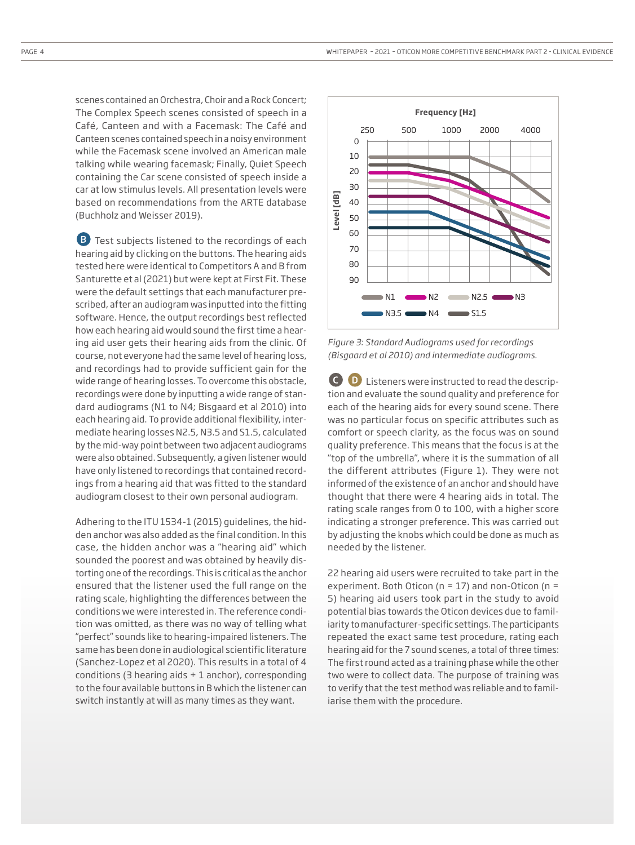scenes contained an Orchestra, Choir and a Rock Concert; The Complex Speech scenes consisted of speech in a Café, Canteen and with a Facemask: The Café and Canteen scenes contained speech in a noisy environment while the Facemask scene involved an American male talking while wearing facemask; Finally, Quiet Speech containing the Car scene consisted of speech inside a car at low stimulus levels. All presentation levels were based on recommendations from the ARTE database (Buchholz and Weisser 2019).

**B** Test subjects listened to the recordings of each hearing aid by clicking on the buttons. The hearing aids tested here were identical to Competitors A and B from Santurette et al (2021) but were kept at First Fit. These were the default settings that each manufacturer prescribed, after an audiogram was inputted into the fitting software. Hence, the output recordings best reflected how each hearing aid would sound the first time a hearing aid user gets their hearing aids from the clinic. Of course, not everyone had the same level of hearing loss, and recordings had to provide sufficient gain for the wide range of hearing losses. To overcome this obstacle, recordings were done by inputting a wide range of standard audiograms (N1 to N4; Bisgaard et al 2010) into each hearing aid. To provide additional flexibility, intermediate hearing losses N2.5, N3.5 and S1.5, calculated by the mid-way point between two adjacent audiograms were also obtained. Subsequently, a given listener would have only listened to recordings that contained recordings from a hearing aid that was fitted to the standard audiogram closest to their own personal audiogram.

Adhering to the ITU 1534-1 (2015) guidelines, the hidden anchor was also added as the final condition. In this case, the hidden anchor was a "hearing aid" which sounded the poorest and was obtained by heavily distorting one of the recordings. This is critical as the anchor ensured that the listener used the full range on the rating scale, highlighting the differences between the conditions we were interested in. The reference condition was omitted, as there was no way of telling what "perfect" sounds like to hearing-impaired listeners. The same has been done in audiological scientific literature (Sanchez-Lopez et al 2020). This results in a total of 4 conditions (3 hearing aids + 1 anchor), corresponding to the four available buttons in B which the listener can switch instantly at will as many times as they want.



*Figure 3: Standard Audiograms used for recordings (Bisgaard et al 2010) and intermediate audiograms.*

**D** Listeners were instructed to read the description and evaluate the sound quality and preference for each of the hearing aids for every sound scene. There was no particular focus on specific attributes such as comfort or speech clarity, as the focus was on sound quality preference. This means that the focus is at the "top of the umbrella", where it is the summation of all the different attributes (Figure 1). They were not informed of the existence of an anchor and should have thought that there were 4 hearing aids in total. The rating scale ranges from 0 to 100, with a higher score indicating a stronger preference. This was carried out by adjusting the knobs which could be done as much as needed by the listener.

22 hearing aid users were recruited to take part in the experiment. Both Oticon (n = 17) and non-Oticon (n = 5) hearing aid users took part in the study to avoid potential bias towards the Oticon devices due to familiarity to manufacturer-specific settings. The participants repeated the exact same test procedure, rating each hearing aid for the 7 sound scenes, a total of three times: The first round acted as a training phase while the other two were to collect data. The purpose of training was to verify that the test method was reliable and to familiarise them with the procedure.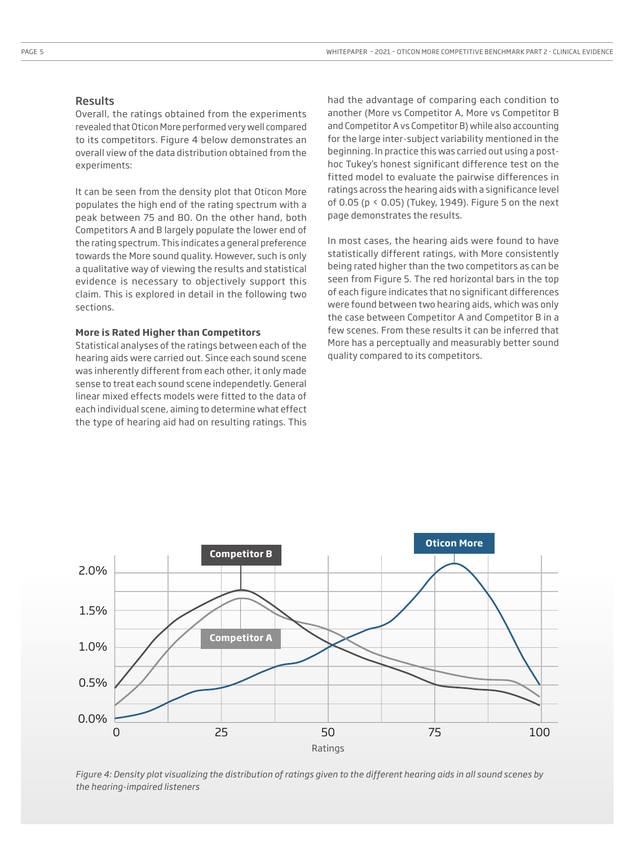#### **Results**

Overall, the ratings obtained from the experiments revealed that Oticon More performed very well compared to its competitors. Figure 4 below demonstrates an overall view of the data distribution obtained from the experiments:

It can be seen from the density plot that Oticon More populates the high end of the rating spectrum with a peak between 75 and 80. On the other hand, both Competitors A and B largely populate the lower end of the rating spectrum. This indicates a general preference towards the More sound quality. However, such is only a qualitative way of viewing the results and statistical evidence is necessary to objectively support this claim. This is explored in detail in the following two sections.

#### **More is Rated Higher than Competitors**

Statistical analyses of the ratings between each of the hearing aids were carried out. Since each sound scene was inherently different from each other, it only made sense to treat each sound scene independetly. General linear mixed effects models were fitted to the data of each individual scene, aiming to determine what effect the type of hearing aid had on resulting ratings. This had the advantage of comparing each condition to another (More vs Competitor A, More vs Competitor B and Competitor A vs Competitor B) while also accounting for the large inter-subject variability mentioned in the beginning. In practice this was carried out using a posthoc Tukey's honest significant difference test on the fitted model to evaluate the pairwise differences in ratings across the hearing aids with a significance level of 0.05 (p < 0.05) (Tukey, 1949). Figure 5 on the next page demonstrates the results.

In most cases, the hearing aids were found to have statistically different ratings, with More consistently being rated higher than the two competitors as can be seen from Figure 5. The red horizontal bars in the top of each figure indicates that no significant differences were found between two hearing aids, which was only the case between Competitor A and Competitor B in a few scenes. From these results it can be inferred that More has a perceptually and measurably better sound quality compared to its competitors.



*Figure 4: Density plot visualizing the distribution of ratings given to the different hearing aids in all sound scenes by the hearing-impaired listeners*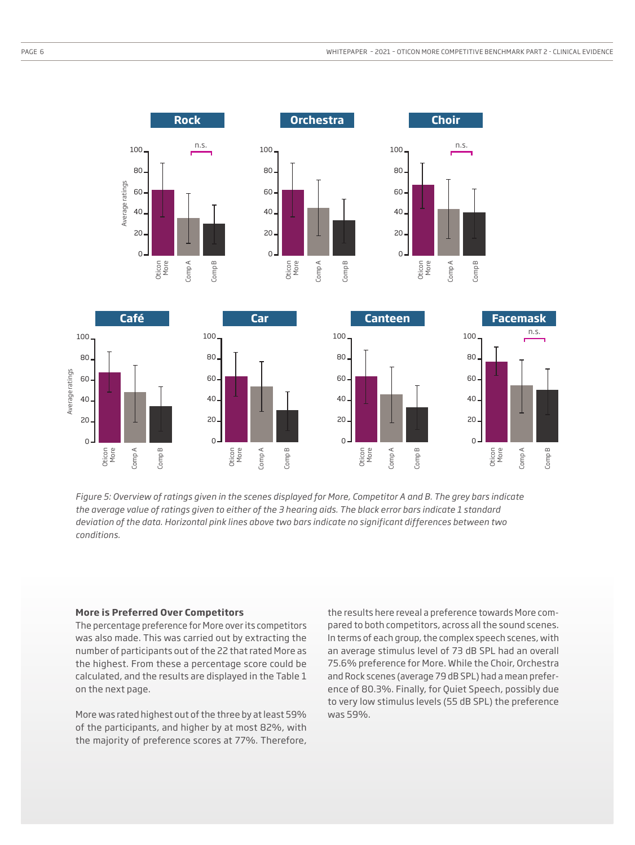

*Figure 5: Overview of ratings given in the scenes displayed for More, Competitor A and B. The grey bars indicate the average value of ratings given to either of the 3 hearing aids. The black error bars indicate 1 standard deviation of the data. Horizontal pink lines above two bars indicate no significant differences between two conditions.*

## **More is Preferred Over Competitors**

The percentage preference for More over its competitors was also made. This was carried out by extracting the number of participants out of the 22 that rated More as the highest. From these a percentage score could be calculated, and the results are displayed in the Table 1 on the next page.

More was rated highest out of the three by at least 59% of the participants, and higher by at most 82%, with the majority of preference scores at 77%. Therefore,

the results here reveal a preference towards More compared to both competitors, across all the sound scenes. In terms of each group, the complex speech scenes, with an average stimulus level of 73 dB SPL had an overall 75.6% preference for More. While the Choir, Orchestra and Rock scenes (average 79 dB SPL) had a mean preference of 80.3%. Finally, for Quiet Speech, possibly due to very low stimulus levels (55 dB SPL) the preference was 59%.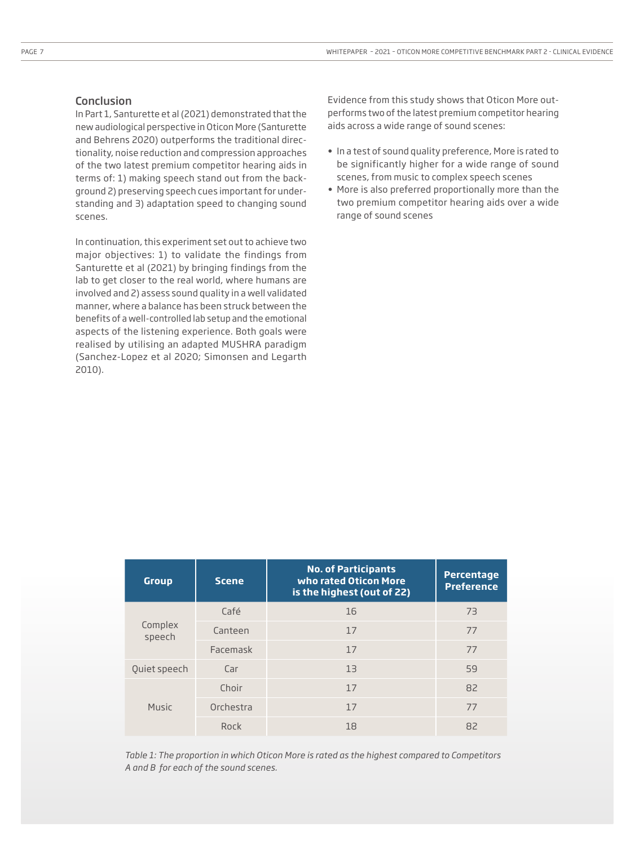## Conclusion

In Part 1, Santurette et al (2021) demonstrated that the new audiological perspective in Oticon More (Santurette and Behrens 2020) outperforms the traditional directionality, noise reduction and compression approaches of the two latest premium competitor hearing aids in terms of: 1) making speech stand out from the background 2) preserving speech cues important for understanding and 3) adaptation speed to changing sound scenes.

In continuation, this experiment set out to achieve two major objectives: 1) to validate the findings from Santurette et al (2021) by bringing findings from the lab to get closer to the real world, where humans are involved and 2) assess sound quality in a well validated manner, where a balance has been struck between the benefits of a well-controlled lab setup and the emotional aspects of the listening experience. Both goals were realised by utilising an adapted MUSHRA paradigm (Sanchez-Lopez et al 2020; Simonsen and Legarth 2010).

Evidence from this study shows that Oticon More outperforms two of the latest premium competitor hearing aids across a wide range of sound scenes:

- In a test of sound quality preference, More is rated to be significantly higher for a wide range of sound scenes, from music to complex speech scenes
- More is also preferred proportionally more than the two premium competitor hearing aids over a wide range of sound scenes

| <b>Group</b>      | <b>Scene</b> | <b>No. of Participants</b><br>who rated Oticon More<br>is the highest (out of 22) | <b>Percentage</b><br><b>Preference</b> |
|-------------------|--------------|-----------------------------------------------------------------------------------|----------------------------------------|
| Complex<br>speech | Café         | 16                                                                                | 73                                     |
|                   | Canteen      | 17                                                                                | 77                                     |
|                   | Facemask     | 17                                                                                | 77                                     |
| Quiet speech      | Car          | 13                                                                                | 59                                     |
| Music             | Choir        | 17                                                                                | 82                                     |
|                   | Orchestra    | 17                                                                                | 77                                     |
|                   | Rock         | 18                                                                                | 82                                     |

*Table 1: The proportion in which Oticon More is rated as the highest compared to Competitors A and B for each of the sound scenes.*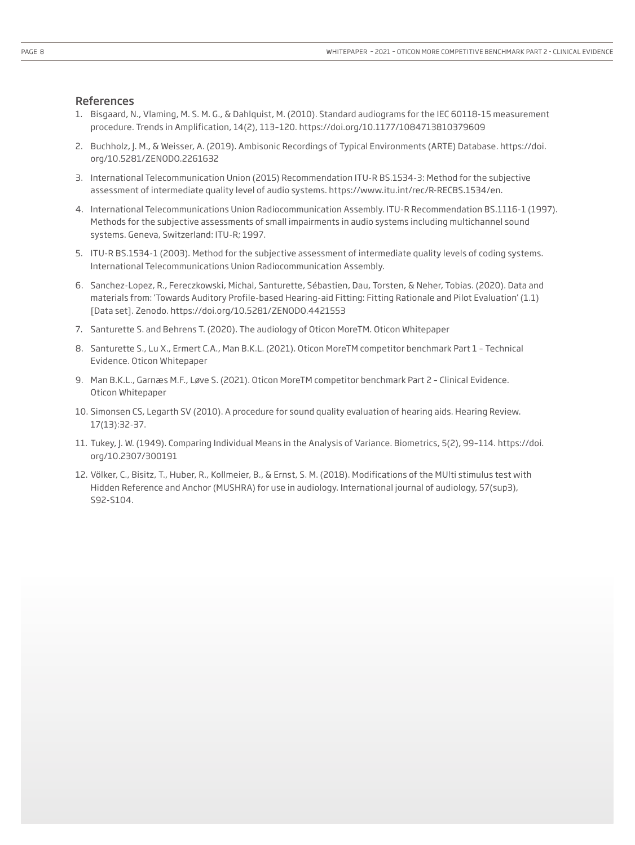#### References

- 1. Bisgaard, N., Vlaming, M. S. M. G., & Dahlquist, M. (2010). Standard audiograms for the IEC 60118-15 measurement procedure. Trends in Amplification, 14(2), 113–120. https://doi.org/10.1177/1084713810379609
- 2. Buchholz, J. M., & Weisser, A. (2019). Ambisonic Recordings of Typical Environments (ARTE) Database. https://doi. org/10.5281/ZENODO.2261632
- 3. International Telecommunication Union (2015) Recommendation ITU-R BS.1534-3: Method for the subjective assessment of intermediate quality level of audio systems. https://www.itu.int/rec/R-RECBS.1534/en.
- 4. International Telecommunications Union Radiocommunication Assembly. ITU-R Recommendation BS.1116-1 (1997). Methods for the subjective assessments of small impairments in audio systems including multichannel sound systems. Geneva, Switzerland: ITU-R; 1997.
- 5. ITU-R BS.1534-1 (2003). Method for the subjective assessment of intermediate quality levels of coding systems. International Telecommunications Union Radiocommunication Assembly.
- 6. Sanchez-Lopez, R., Fereczkowski, Michal, Santurette, Sébastien, Dau, Torsten, & Neher, Tobias. (2020). Data and materials from: 'Towards Auditory Profile-based Hearing-aid Fitting: Fitting Rationale and Pilot Evaluation' (1.1) [Data set]. Zenodo. https://doi.org/10.5281/ZENODO.4421553
- 7. Santurette S. and Behrens T. (2020). The audiology of Oticon MoreTM. Oticon Whitepaper
- 8. Santurette S., Lu X., Ermert C.A., Man B.K.L. (2021). Oticon MoreTM competitor benchmark Part 1 Technical Evidence. Oticon Whitepaper
- 9. Man B.K.L., Garnæs M.F., Løve S. (2021). Oticon MoreTM competitor benchmark Part 2 Clinical Evidence. Oticon Whitepaper
- 10. Simonsen CS, Legarth SV (2010). A procedure for sound quality evaluation of hearing aids. Hearing Review. 17(13):32-37.
- 11. Tukey, J. W. (1949). Comparing Individual Means in the Analysis of Variance. Biometrics, 5(2), 99–114. https://doi. org/10.2307/300191
- 12. Völker, C., Bisitz, T., Huber, R., Kollmeier, B., & Ernst, S. M. (2018). Modifications of the MUlti stimulus test with Hidden Reference and Anchor (MUSHRA) for use in audiology. International journal of audiology, 57(sup3), S92-S104.